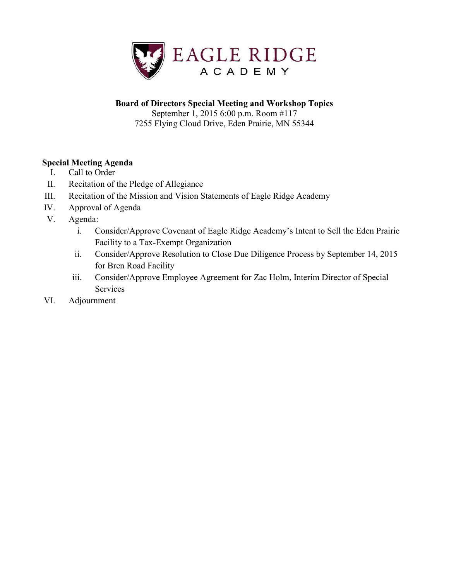

## **Board of Directors Special Meeting and Workshop Topics**

September 1, 2015 6:00 p.m. Room #117 7255 Flying Cloud Drive, Eden Prairie, MN 55344

### **Special Meeting Agenda**

- I. Call to Order
- II. Recitation of the Pledge of Allegiance
- III. Recitation of the Mission and Vision Statements of Eagle Ridge Academy
- IV. Approval of Agenda
- V. Agenda:
	- i. Consider/Approve Covenant of Eagle Ridge Academy's Intent to Sell the Eden Prairie Facility to a Tax-Exempt Organization
	- ii. Consider/Approve Resolution to Close Due Diligence Process by September 14, 2015 for Bren Road Facility
	- iii. Consider/Approve Employee Agreement for Zac Holm, Interim Director of Special Services
- VI. Adjournment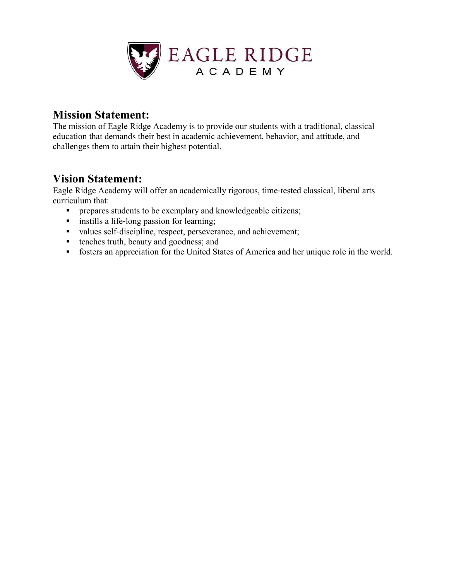

## **Mission Statement:**

The mission of Eagle Ridge Academy is to provide our students with a traditional, classical education that demands their best in academic achievement, behavior, and attitude, and challenges them to attain their highest potential.

# **Vision Statement:**

Eagle Ridge Academy will offer an academically rigorous, time‐tested classical, liberal arts curriculum that:

- **PEDIE:** prepares students to be exemplary and knowledgeable citizens;
- instills a life-long passion for learning;
- values self-discipline, respect, perseverance, and achievement;
- teaches truth, beauty and goodness; and
- fosters an appreciation for the United States of America and her unique role in the world.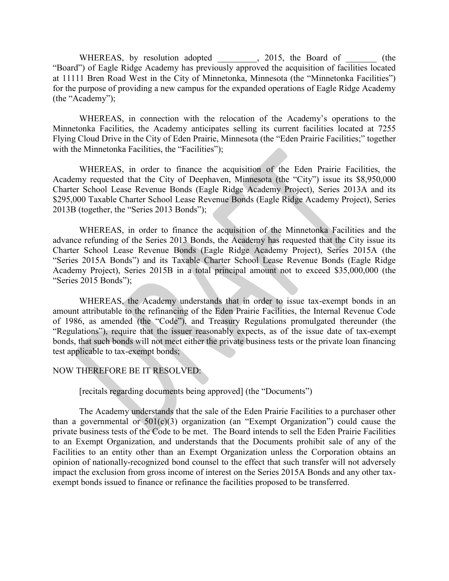WHEREAS, by resolution adopted \_\_\_\_\_\_\_, 2015, the Board of \_\_\_\_\_\_\_ (the "Board") of Eagle Ridge Academy has previously approved the acquisition of facilities located at 11111 Bren Road West in the City of Minnetonka, Minnesota (the "Minnetonka Facilities") for the purpose of providing a new campus for the expanded operations of Eagle Ridge Academy (the "Academy");

 WHEREAS, in connection with the relocation of the Academy's operations to the Minnetonka Facilities, the Academy anticipates selling its current facilities located at 7255 Flying Cloud Drive in the City of Eden Prairie, Minnesota (the "Eden Prairie Facilities;" together with the Minnetonka Facilities, the "Facilities");

 WHEREAS, in order to finance the acquisition of the Eden Prairie Facilities, the Academy requested that the City of Deephaven, Minnesota (the "City") issue its \$8,950,000 Charter School Lease Revenue Bonds (Eagle Ridge Academy Project), Series 2013A and its \$295,000 Taxable Charter School Lease Revenue Bonds (Eagle Ridge Academy Project), Series 2013B (together, the "Series 2013 Bonds");

 WHEREAS, in order to finance the acquisition of the Minnetonka Facilities and the advance refunding of the Series 2013 Bonds, the Academy has requested that the City issue its Charter School Lease Revenue Bonds (Eagle Ridge Academy Project), Series 2015A (the "Series 2015A Bonds") and its Taxable Charter School Lease Revenue Bonds (Eagle Ridge Academy Project), Series 2015B in a total principal amount not to exceed \$35,000,000 (the "Series 2015 Bonds");

 WHEREAS, the Academy understands that in order to issue tax-exempt bonds in an amount attributable to the refinancing of the Eden Prairie Facilities, the Internal Revenue Code of 1986, as amended (the "Code"), and Treasury Regulations promulgated thereunder (the "Regulations"), require that the issuer reasonably expects, as of the issue date of tax-exempt bonds, that such bonds will not meet either the private business tests or the private loan financing test applicable to tax-exempt bonds;

### NOW THEREFORE BE IT RESOLVED:

[recitals regarding documents being approved] (the "Documents")

 The Academy understands that the sale of the Eden Prairie Facilities to a purchaser other than a governmental or  $501(c)(3)$  organization (an "Exempt Organization") could cause the private business tests of the Code to be met. The Board intends to sell the Eden Prairie Facilities to an Exempt Organization, and understands that the Documents prohibit sale of any of the Facilities to an entity other than an Exempt Organization unless the Corporation obtains an opinion of nationally-recognized bond counsel to the effect that such transfer will not adversely impact the exclusion from gross income of interest on the Series 2015A Bonds and any other taxexempt bonds issued to finance or refinance the facilities proposed to be transferred.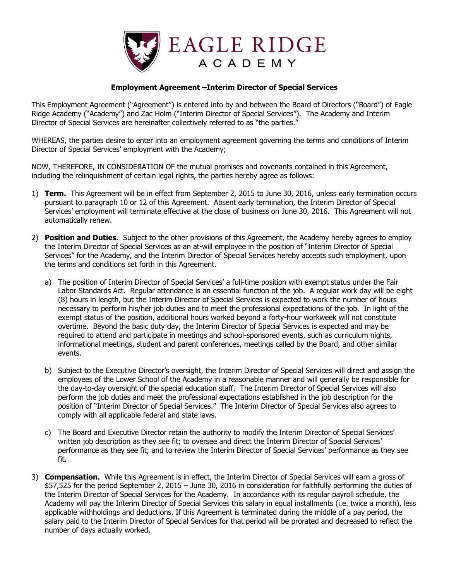

#### **Employment Agreement –Interim Director of Special Services**

This Employment Agreement ("Agreement") is entered into by and between the Board of Directors ("Board") of Eagle Ridge Academy ("Academy") and Zac Holm ("Interim Director of Special Services"). The Academy and Interim Director of Special Services are hereinafter collectively referred to as "the parties."

WHEREAS, the parties desire to enter into an employment agreement governing the terms and conditions of Interim Director of Special Services' employment with the Academy;

NOW, THEREFORE, IN CONSIDERATION OF the mutual promises and covenants contained in this Agreement, including the relinquishment of certain legal rights, the parties hereby agree as follows:

- 1) **Term.** This Agreement will be in effect from September 2, 2015 to June 30, 2016, unless early termination occurs pursuant to paragraph 10 or 12 of this Agreement. Absent early termination, the Interim Director of Special Services' employment will terminate effective at the close of business on June 30, 2016. This Agreement will not automatically renew.
- 2) **Position and Duties.** Subject to the other provisions of this Agreement, the Academy hereby agrees to employ the Interim Director of Special Services as an at-will employee in the position of "Interim Director of Special Services" for the Academy, and the Interim Director of Special Services hereby accepts such employment, upon the terms and conditions set forth in this Agreement.
	- a) The position of Interim Director of Special Services' a full-time position with exempt status under the Fair Labor Standards Act. Regular attendance is an essential function of the job. A regular work day will be eight (8) hours in length, but the Interim Director of Special Services is expected to work the number of hours necessary to perform his/her job duties and to meet the professional expectations of the job. In light of the exempt status of the position, additional hours worked beyond a forty-hour workweek will not constitute overtime. Beyond the basic duty day, the Interim Director of Special Services is expected and may be required to attend and participate in meetings and school-sponsored events, such as curriculum nights, informational meetings, student and parent conferences, meetings called by the Board, and other similar events.
	- b) Subject to the Executive Director's oversight, the Interim Director of Special Services will direct and assign the employees of the Lower School of the Academy in a reasonable manner and will generally be responsible for the day-to-day oversight of the special education staff. The Interim Director of Special Services will also perform the job duties and meet the professional expectations established in the job description for the position of "Interim Director of Special Services." The Interim Director of Special Services also agrees to comply with all applicable federal and state laws.
	- c) The Board and Executive Director retain the authority to modify the Interim Director of Special Services' written job description as they see fit; to oversee and direct the Interim Director of Special Services' performance as they see fit; and to review the Interim Director of Special Services' performance as they see fit.
- 3) **Compensation.** While this Agreement is in effect, the Interim Director of Special Services will earn a gross of \$57,525 for the period September 2, 2015 – June 30, 2016 in consideration for faithfully performing the duties of the Interim Director of Special Services for the Academy. In accordance with its regular payroll schedule, the Academy will pay the Interim Director of Special Services this salary in equal installments (i.e. twice a month), less applicable withholdings and deductions. If this Agreement is terminated during the middle of a pay period, the salary paid to the Interim Director of Special Services for that period will be prorated and decreased to reflect the number of days actually worked.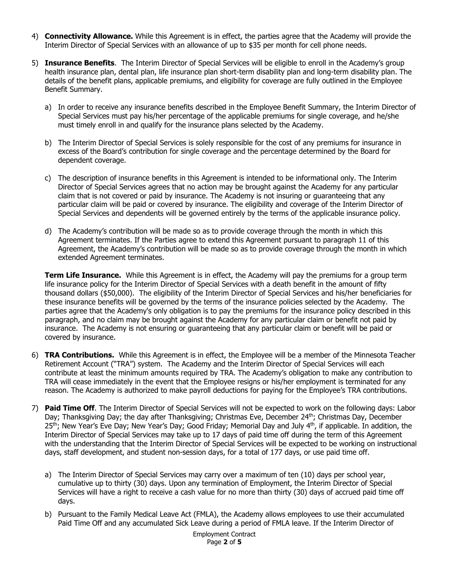- 4) **Connectivity Allowance.** While this Agreement is in effect, the parties agree that the Academy will provide the Interim Director of Special Services with an allowance of up to \$35 per month for cell phone needs.
- 5) **Insurance Benefits**. The Interim Director of Special Services will be eligible to enroll in the Academy's group health insurance plan, dental plan, life insurance plan short-term disability plan and long-term disability plan. The details of the benefit plans, applicable premiums, and eligibility for coverage are fully outlined in the Employee Benefit Summary.
	- a) In order to receive any insurance benefits described in the Employee Benefit Summary, the Interim Director of Special Services must pay his/her percentage of the applicable premiums for single coverage, and he/she must timely enroll in and qualify for the insurance plans selected by the Academy.
	- b) The Interim Director of Special Services is solely responsible for the cost of any premiums for insurance in excess of the Board's contribution for single coverage and the percentage determined by the Board for dependent coverage.
	- c) The description of insurance benefits in this Agreement is intended to be informational only. The Interim Director of Special Services agrees that no action may be brought against the Academy for any particular claim that is not covered or paid by insurance. The Academy is not insuring or guaranteeing that any particular claim will be paid or covered by insurance. The eligibility and coverage of the Interim Director of Special Services and dependents will be governed entirely by the terms of the applicable insurance policy.
	- d) The Academy's contribution will be made so as to provide coverage through the month in which this Agreement terminates. If the Parties agree to extend this Agreement pursuant to paragraph 11 of this Agreement, the Academy's contribution will be made so as to provide coverage through the month in which extended Agreement terminates.

**Term Life Insurance.** While this Agreement is in effect, the Academy will pay the premiums for a group term life insurance policy for the Interim Director of Special Services with a death benefit in the amount of fifty thousand dollars (\$50,000). The eligibility of the Interim Director of Special Services and his/her beneficiaries for these insurance benefits will be governed by the terms of the insurance policies selected by the Academy. The parties agree that the Academy's only obligation is to pay the premiums for the insurance policy described in this paragraph, and no claim may be brought against the Academy for any particular claim or benefit not paid by insurance. The Academy is not ensuring or guaranteeing that any particular claim or benefit will be paid or covered by insurance.

- 6) **TRA Contributions.** While this Agreement is in effect, the Employee will be a member of the Minnesota Teacher Retirement Account ("TRA") system. The Academy and the Interim Director of Special Services will each contribute at least the minimum amounts required by TRA. The Academy's obligation to make any contribution to TRA will cease immediately in the event that the Employee resigns or his/her employment is terminated for any reason. The Academy is authorized to make payroll deductions for paying for the Employee's TRA contributions.
- 7) **Paid Time Off**. The Interim Director of Special Services will not be expected to work on the following days: Labor Day; Thanksgiving Day; the day after Thanksgiving; Christmas Eve, December 24th; Christmas Day, December 25<sup>th</sup>; New Year's Eve Day; New Year's Day; Good Friday; Memorial Day and July 4<sup>th</sup>, if applicable. In addition, the Interim Director of Special Services may take up to 17 days of paid time off during the term of this Agreement with the understanding that the Interim Director of Special Services will be expected to be working on instructional days, staff development, and student non-session days, for a total of 177 days, or use paid time off.
	- a) The Interim Director of Special Services may carry over a maximum of ten (10) days per school year, cumulative up to thirty (30) days. Upon any termination of Employment, the Interim Director of Special Services will have a right to receive a cash value for no more than thirty (30) days of accrued paid time off days.
	- b) Pursuant to the Family Medical Leave Act (FMLA), the Academy allows employees to use their accumulated Paid Time Off and any accumulated Sick Leave during a period of FMLA leave. If the Interim Director of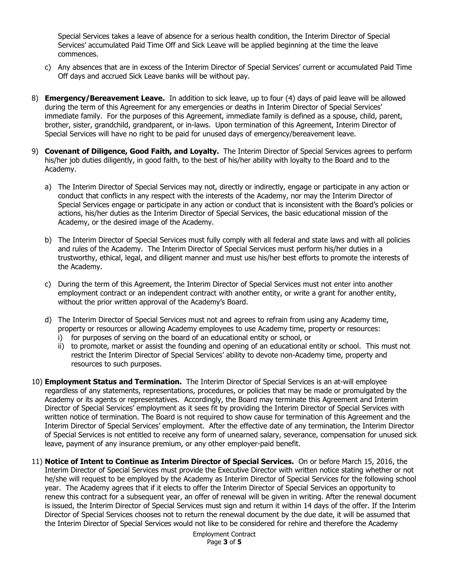Special Services takes a leave of absence for a serious health condition, the Interim Director of Special Services' accumulated Paid Time Off and Sick Leave will be applied beginning at the time the leave commences.

- c) Any absences that are in excess of the Interim Director of Special Services' current or accumulated Paid Time Off days and accrued Sick Leave banks will be without pay.
- 8) **Emergency/Bereavement Leave.** In addition to sick leave, up to four (4) days of paid leave will be allowed during the term of this Agreement for any emergencies or deaths in Interim Director of Special Services' immediate family. For the purposes of this Agreement, immediate family is defined as a spouse, child, parent, brother, sister, grandchild, grandparent, or in-laws. Upon termination of this Agreement, Interim Director of Special Services will have no right to be paid for unused days of emergency/bereavement leave.
- 9) **Covenant of Diligence, Good Faith, and Loyalty.** The Interim Director of Special Services agrees to perform his/her job duties diligently, in good faith, to the best of his/her ability with loyalty to the Board and to the Academy.
	- a) The Interim Director of Special Services may not, directly or indirectly, engage or participate in any action or conduct that conflicts in any respect with the interests of the Academy, nor may the Interim Director of Special Services engage or participate in any action or conduct that is inconsistent with the Board's policies or actions, his/her duties as the Interim Director of Special Services, the basic educational mission of the Academy, or the desired image of the Academy.
	- b) The Interim Director of Special Services must fully comply with all federal and state laws and with all policies and rules of the Academy. The Interim Director of Special Services must perform his/her duties in a trustworthy, ethical, legal, and diligent manner and must use his/her best efforts to promote the interests of the Academy.
	- c) During the term of this Agreement, the Interim Director of Special Services must not enter into another employment contract or an independent contract with another entity, or write a grant for another entity, without the prior written approval of the Academy's Board.
	- d) The Interim Director of Special Services must not and agrees to refrain from using any Academy time, property or resources or allowing Academy employees to use Academy time, property or resources:
		- i) for purposes of serving on the board of an educational entity or school, or
		- ii) to promote, market or assist the founding and opening of an educational entity or school. This must not restrict the Interim Director of Special Services' ability to devote non-Academy time, property and resources to such purposes.
- 10) **Employment Status and Termination.** The Interim Director of Special Services is an at-will employee regardless of any statements, representations, procedures, or policies that may be made or promulgated by the Academy or its agents or representatives. Accordingly, the Board may terminate this Agreement and Interim Director of Special Services' employment as it sees fit by providing the Interim Director of Special Services with written notice of termination. The Board is not required to show cause for termination of this Agreement and the Interim Director of Special Services' employment. After the effective date of any termination, the Interim Director of Special Services is not entitled to receive any form of unearned salary, severance, compensation for unused sick leave, payment of any insurance premium, or any other employer-paid benefit.
- 11) **Notice of Intent to Continue as Interim Director of Special Services.** On or before March 15, 2016, the Interim Director of Special Services must provide the Executive Director with written notice stating whether or not he/she will request to be employed by the Academy as Interim Director of Special Services for the following school year. The Academy agrees that if it elects to offer the Interim Director of Special Services an opportunity to renew this contract for a subsequent year, an offer of renewal will be given in writing. After the renewal document is issued, the Interim Director of Special Services must sign and return it within 14 days of the offer. If the Interim Director of Special Services chooses not to return the renewal document by the due date, it will be assumed that the Interim Director of Special Services would not like to be considered for rehire and therefore the Academy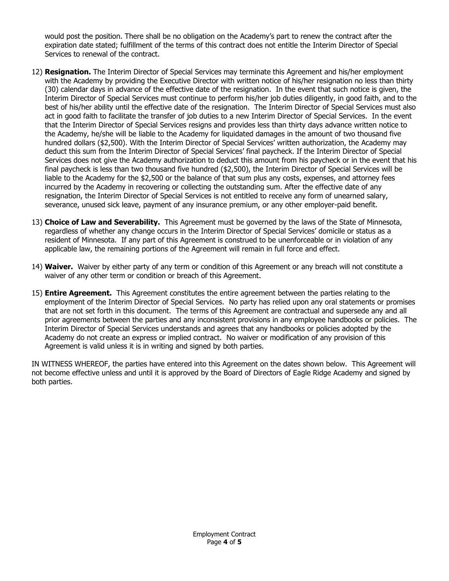would post the position. There shall be no obligation on the Academy's part to renew the contract after the expiration date stated; fulfillment of the terms of this contract does not entitle the Interim Director of Special Services to renewal of the contract.

- 12) **Resignation.** The Interim Director of Special Services may terminate this Agreement and his/her employment with the Academy by providing the Executive Director with written notice of his/her resignation no less than thirty (30) calendar days in advance of the effective date of the resignation. In the event that such notice is given, the Interim Director of Special Services must continue to perform his/her job duties diligently, in good faith, and to the best of his/her ability until the effective date of the resignation. The Interim Director of Special Services must also act in good faith to facilitate the transfer of job duties to a new Interim Director of Special Services. In the event that the Interim Director of Special Services resigns and provides less than thirty days advance written notice to the Academy, he/she will be liable to the Academy for liquidated damages in the amount of two thousand five hundred dollars (\$2,500). With the Interim Director of Special Services' written authorization, the Academy may deduct this sum from the Interim Director of Special Services' final paycheck. If the Interim Director of Special Services does not give the Academy authorization to deduct this amount from his paycheck or in the event that his final paycheck is less than two thousand five hundred (\$2,500), the Interim Director of Special Services will be liable to the Academy for the \$2,500 or the balance of that sum plus any costs, expenses, and attorney fees incurred by the Academy in recovering or collecting the outstanding sum. After the effective date of any resignation, the Interim Director of Special Services is not entitled to receive any form of unearned salary, severance, unused sick leave, payment of any insurance premium, or any other employer-paid benefit.
- 13) **Choice of Law and Severability.** This Agreement must be governed by the laws of the State of Minnesota, regardless of whether any change occurs in the Interim Director of Special Services' domicile or status as a resident of Minnesota. If any part of this Agreement is construed to be unenforceable or in violation of any applicable law, the remaining portions of the Agreement will remain in full force and effect.
- 14) **Waiver.** Waiver by either party of any term or condition of this Agreement or any breach will not constitute a waiver of any other term or condition or breach of this Agreement.
- 15) **Entire Agreement.** This Agreement constitutes the entire agreement between the parties relating to the employment of the Interim Director of Special Services. No party has relied upon any oral statements or promises that are not set forth in this document. The terms of this Agreement are contractual and supersede any and all prior agreements between the parties and any inconsistent provisions in any employee handbooks or policies. The Interim Director of Special Services understands and agrees that any handbooks or policies adopted by the Academy do not create an express or implied contract. No waiver or modification of any provision of this Agreement is valid unless it is in writing and signed by both parties.

IN WITNESS WHEREOF, the parties have entered into this Agreement on the dates shown below. This Agreement will not become effective unless and until it is approved by the Board of Directors of Eagle Ridge Academy and signed by both parties.